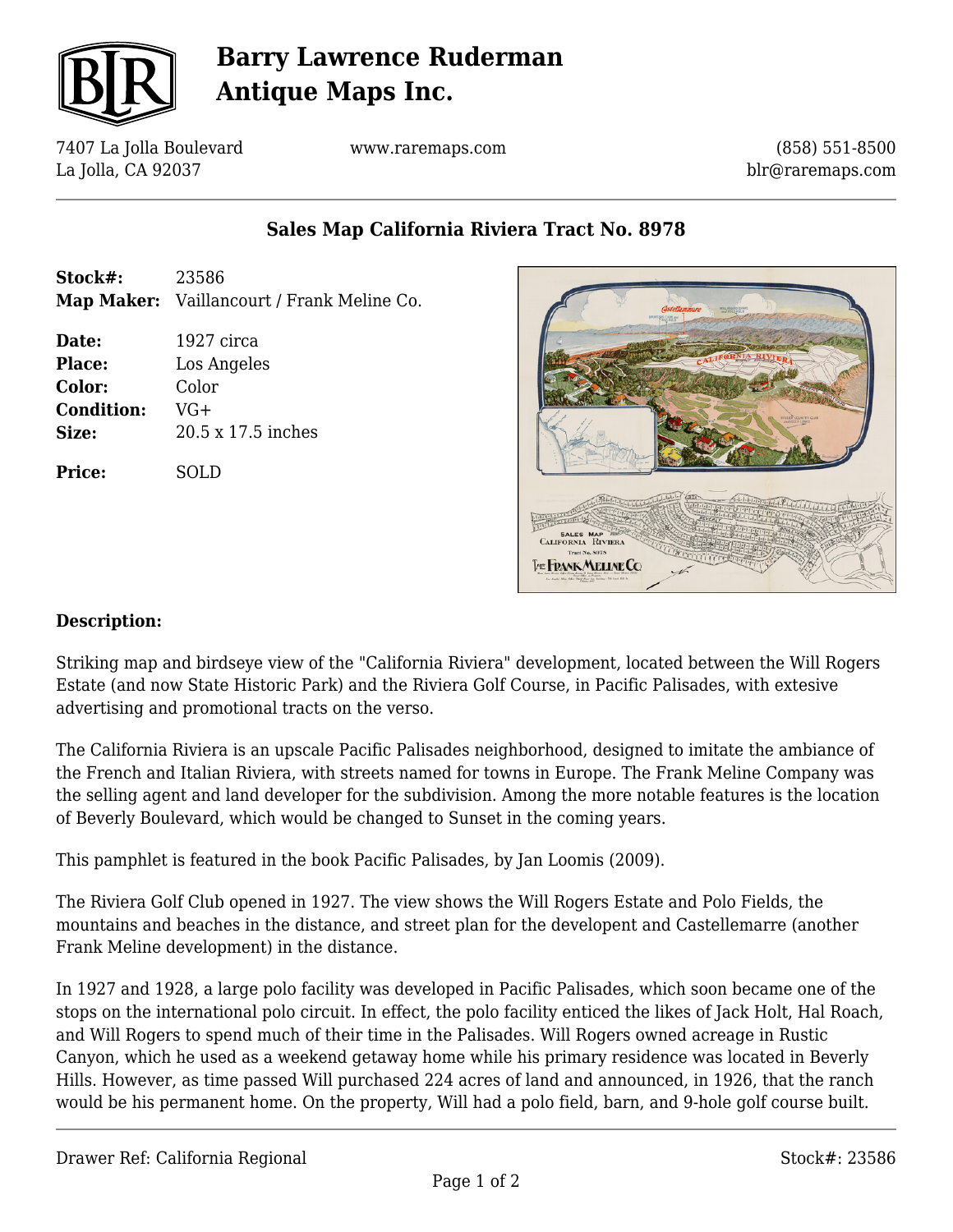

# **Barry Lawrence Ruderman Antique Maps Inc.**

7407 La Jolla Boulevard La Jolla, CA 92037

www.raremaps.com

(858) 551-8500 blr@raremaps.com

### **Sales Map California Riviera Tract No. 8978**

**Stock#:** 23586 **Map Maker:** Vaillancourt / Frank Meline Co. **Date:** 1927 circa **Place:** Los Angeles **Color:** Color **Condition:** VG+ **Size:** 20.5 x 17.5 inches **Price:** SOLD



#### **Description:**

Striking map and birdseye view of the "California Riviera" development, located between the Will Rogers Estate (and now State Historic Park) and the Riviera Golf Course, in Pacific Palisades, with extesive advertising and promotional tracts on the verso.

The California Riviera is an upscale Pacific Palisades neighborhood, designed to imitate the ambiance of the French and Italian Riviera, with streets named for towns in Europe. The Frank Meline Company was the selling agent and land developer for the subdivision. Among the more notable features is the location of Beverly Boulevard, which would be changed to Sunset in the coming years.

This pamphlet is featured in the book Pacific Palisades, by Jan Loomis (2009).

The Riviera Golf Club opened in 1927. The view shows the Will Rogers Estate and Polo Fields, the mountains and beaches in the distance, and street plan for the developent and Castellemarre (another Frank Meline development) in the distance.

In 1927 and 1928, a large polo facility was developed in Pacific Palisades, which soon became one of the stops on the international polo circuit. In effect, the polo facility enticed the likes of Jack Holt, Hal Roach, and Will Rogers to spend much of their time in the Palisades. Will Rogers owned acreage in Rustic Canyon, which he used as a weekend getaway home while his primary residence was located in Beverly Hills. However, as time passed Will purchased 224 acres of land and announced, in 1926, that the ranch would be his permanent home. On the property, Will had a polo field, barn, and 9-hole golf course built.